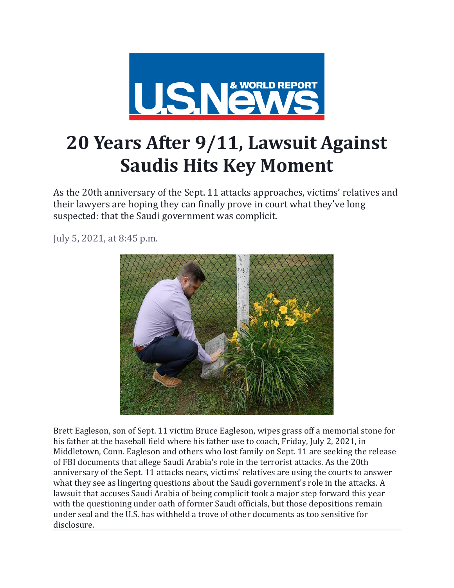

## **20 Years After 9/11, Lawsuit Against Saudis Hits Key Moment**

As the 20th anniversary of the Sept. 11 attacks approaches, victims' relatives and their lawyers are hoping they can finally prove in court what they've long suspected: that the Saudi government was complicit.

July 5, 2021, at 8:45 p.m.



Brett Eagleson, son of Sept. 11 victim Bruce Eagleson, wipes grass off a memorial stone for his father at the baseball field where his father use to coach, Friday, July 2, 2021, in Middletown, Conn. Eagleson and others who lost family on Sept. 11 are seeking the release of FBI documents that allege Saudi Arabia's role in the terrorist attacks. As the 20th anniversary of the Sept. 11 attacks nears, victims' relatives are using the courts to answer what they see as lingering questions about the Saudi government's role in the attacks. A lawsuit that accuses Saudi Arabia of being complicit took a major step forward this year with the questioning under oath of former Saudi officials, but those depositions remain under seal and the U.S. has withheld a trove of other documents as too sensitive for disclosure.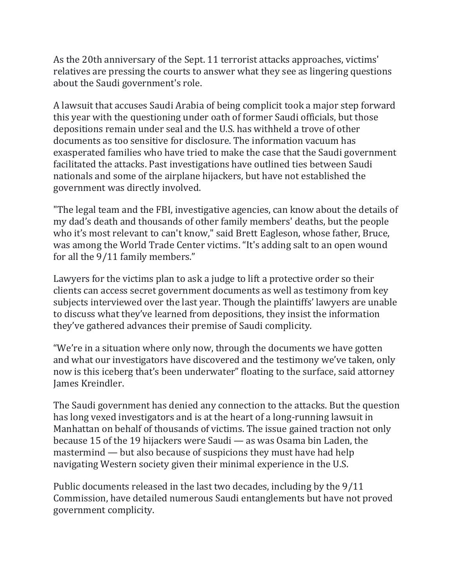As the 20th anniversary of the Sept. 11 terrorist attacks approaches, victims' relatives are pressing the courts to answer what they see as lingering questions about the Saudi government's role.

A lawsuit that accuses Saudi Arabia of being complicit took a major step forward this year with the questioning under oath of former Saudi officials, but those depositions remain under seal and the U.S. has withheld a trove of other documents as too sensitive for disclosure. The information vacuum has exasperated families who have tried to make the case that the Saudi government facilitated the attacks. Past investigations have outlined ties between Saudi nationals and some of the airplane hijackers, but have not established the government was directly involved.

"The legal team and the FBI, investigative agencies, can know about the details of my dad's death and thousands of other family members' deaths, but the people who it's most relevant to can't know," said Brett Eagleson, whose father, Bruce, was among the World Trade Center victims. "It's adding salt to an open wound for all the 9/11 family members."

Lawyers for the victims plan to ask a judge to lift a protective order so their clients can access secret government documents as well as testimony from key subjects interviewed over the last year. Though the plaintiffs' lawyers are unable to discuss what they've learned from depositions, they insist the information they've gathered advances their premise of Saudi complicity.

"We're in a situation where only now, through the documents we have gotten and what our investigators have discovered and the testimony we've taken, only now is this iceberg that's been underwater" floating to the surface, said attorney James Kreindler.

The Saudi government has denied any connection to the attacks. But the question has long vexed investigators and is at the heart of a long-running lawsuit in Manhattan on behalf of thousands of victims. The issue gained traction not only because 15 of the 19 hijackers were Saudi — as was Osama bin Laden, the mastermind — but also because of suspicions they must have had help navigating Western society given their minimal experience in the U.S.

Public documents released in the last two decades, including by the 9/11 Commission, have detailed numerous Saudi entanglements but have not proved government complicity.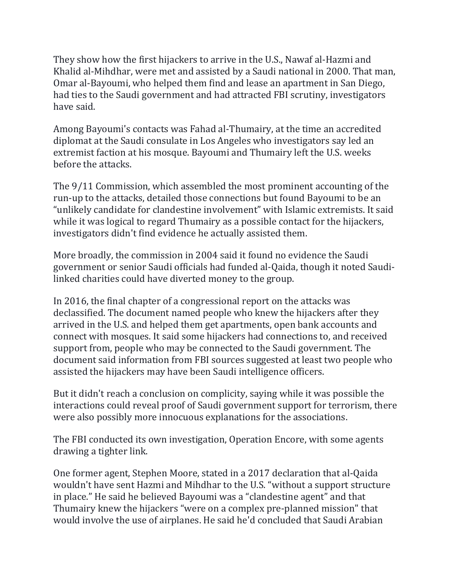They show how the first hijackers to arrive in the U.S., Nawaf al-Hazmi and Khalid al-Mihdhar, were met and assisted by a Saudi national in 2000. That man, Omar al-Bayoumi, who helped them find and lease an apartment in San Diego, had ties to the Saudi government and had attracted FBI scrutiny, investigators have said.

Among Bayoumi's contacts was Fahad al-Thumairy, at the time an accredited diplomat at the Saudi consulate in Los Angeles who investigators say led an extremist faction at his mosque. Bayoumi and Thumairy left the U.S. weeks before the attacks.

The 9/11 Commission, which assembled the most prominent accounting of the run-up to the attacks, detailed those connections but found Bayoumi to be an "unlikely candidate for clandestine involvement" with Islamic extremists. It said while it was logical to regard Thumairy as a possible contact for the hijackers, investigators didn't find evidence he actually assisted them.

More broadly, the commission in 2004 said it found no evidence the Saudi government or senior Saudi officials had funded al-Qaida, though it noted Saudilinked charities could have diverted money to the group.

In 2016, the final chapter of a congressional report on the attacks was declassified. The document named people who knew the hijackers after they arrived in the U.S. and helped them get apartments, open bank accounts and connect with mosques. It said some hijackers had connections to, and received support from, people who may be connected to the Saudi government. The document said information from FBI sources suggested at least two people who assisted the hijackers may have been Saudi intelligence officers.

But it didn't reach a conclusion on complicity, saying while it was possible the interactions could reveal proof of Saudi government support for terrorism, there were also possibly more innocuous explanations for the associations.

The FBI conducted its own investigation, Operation Encore, with some agents drawing a tighter link.

One former agent, Stephen Moore, stated in a 2017 declaration that al-Qaida wouldn't have sent Hazmi and Mihdhar to the U.S. "without a support structure in place." He said he believed Bayoumi was a "clandestine agent" and that Thumairy knew the hijackers "were on a complex pre-planned mission" that would involve the use of airplanes. He said he'd concluded that Saudi Arabian